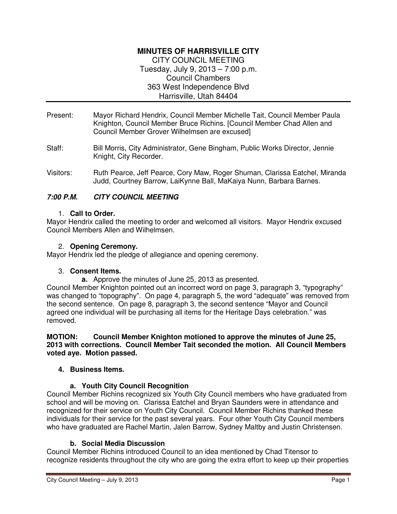### **MINUTES OF HARRISVILLE CITY**  CITY COUNCIL MEETING Tuesday, July 9, 2013 – 7:00 p.m. Council Chambers

363 West Independence Blvd

Harrisville, Utah 84404

- Present: Mayor Richard Hendrix, Council Member Michelle Tait, Council Member Paula Knighton, Council Member Bruce Richins. [Council Member Chad Allen and Council Member Grover Wilhelmsen are excused]
- Staff: Bill Morris, City Administrator, Gene Bingham, Public Works Director, Jennie Knight, City Recorder.
- Visitors: Ruth Pearce, Jeff Pearce, Cory Maw, Roger Shuman, Clarissa Eatchel, Miranda Judd, Courtney Barrow, LaiKynne Ball, MaKaiya Nunn, Barbara Barnes.

# **7:00 P.M. CITY COUNCIL MEETING**

## 1. **Call to Order.**

Mayor Hendrix called the meeting to order and welcomed all visitors. Mayor Hendrix excused Council Members Allen and Wilhelmsen.

### 2. **Opening Ceremony.**

Mayor Hendrix led the pledge of allegiance and opening ceremony.

## 3. **Consent Items.**

**a.** Approve the minutes of June 25, 2013 as presented.

Council Member Knighton pointed out an incorrect word on page 3, paragraph 3, "typography" was changed to "topography". On page 4, paragraph 5, the word "adequate" was removed from the second sentence. On page 8, paragraph 3, the second sentence "Mayor and Council agreed one individual will be purchasing all items for the Heritage Days celebration." was removed.

**MOTION: Council Member Knighton motioned to approve the minutes of June 25, 2013 with corrections. Council Member Tait seconded the motion. All Council Members voted aye. Motion passed.** 

## **4. Business Items.**

## **a. Youth City Council Recognition**

Council Member Richins recognized six Youth City Council members who have graduated from school and will be moving on. Clarissa Eatchel and Bryan Saunders were in attendance and recognized for their service on Youth City Council. Council Member Richins thanked these individuals for their service for the past several years. Four other Youth City Council members who have graduated are Rachel Martin, Jalen Barrow, Sydney Maltby and Justin Christensen.

## **b. Social Media Discussion**

Council Member Richins introduced Council to an idea mentioned by Chad Titensor to recognize residents throughout the city who are going the extra effort to keep up their properties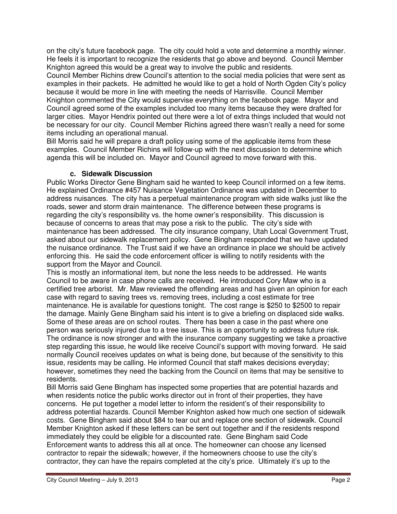on the city's future facebook page. The city could hold a vote and determine a monthly winner. He feels it is important to recognize the residents that go above and beyond. Council Member Knighton agreed this would be a great way to involve the public and residents.

Council Member Richins drew Council's attention to the social media policies that were sent as examples in their packets. He admitted he would like to get a hold of North Ogden City's policy because it would be more in line with meeting the needs of Harrisville. Council Member Knighton commented the City would supervise everything on the facebook page. Mayor and Council agreed some of the examples included too many items because they were drafted for larger cities. Mayor Hendrix pointed out there were a lot of extra things included that would not be necessary for our city. Council Member Richins agreed there wasn't really a need for some items including an operational manual.

Bill Morris said he will prepare a draft policy using some of the applicable items from these examples. Council Member Richins will follow-up with the next discussion to determine which agenda this will be included on. Mayor and Council agreed to move forward with this.

### **c. Sidewalk Discussion**

Public Works Director Gene Bingham said he wanted to keep Council informed on a few items. He explained Ordinance #457 Nuisance Vegetation Ordinance was updated in December to address nuisances. The city has a perpetual maintenance program with side walks just like the roads, sewer and storm drain maintenance. The difference between these programs is regarding the city's responsibility vs. the home owner's responsibility. This discussion is because of concerns to areas that may pose a risk to the public. The city's side with maintenance has been addressed. The city insurance company, Utah Local Government Trust, asked about our sidewalk replacement policy. Gene Bingham responded that we have updated the nuisance ordinance. The Trust said if we have an ordinance in place we should be actively enforcing this. He said the code enforcement officer is willing to notify residents with the support from the Mayor and Council.

This is mostly an informational item, but none the less needs to be addressed. He wants Council to be aware in case phone calls are received. He introduced Cory Maw who is a certified tree arborist. Mr. Maw reviewed the offending areas and has given an opinion for each case with regard to saving trees vs. removing trees, including a cost estimate for tree maintenance. He is available for questions tonight. The cost range is \$250 to \$2500 to repair the damage. Mainly Gene Bingham said his intent is to give a briefing on displaced side walks. Some of these areas are on school routes. There has been a case in the past where one person was seriously injured due to a tree issue. This is an opportunity to address future risk. The ordinance is now stronger and with the insurance company suggesting we take a proactive step regarding this issue, he would like receive Council's support with moving forward. He said normally Council receives updates on what is being done, but because of the sensitivity to this issue, residents may be calling. He informed Council that staff makes decisions everyday; however, sometimes they need the backing from the Council on items that may be sensitive to residents.

Bill Morris said Gene Bingham has inspected some properties that are potential hazards and when residents notice the public works director out in front of their properties, they have concerns. He put together a model letter to inform the resident's of their responsibility to address potential hazards. Council Member Knighton asked how much one section of sidewalk costs. Gene Bingham said about \$84 to tear out and replace one section of sidewalk. Council Member Knighton asked if these letters can be sent out together and if the residents respond immediately they could be eligible for a discounted rate. Gene Bingham said Code Enforcement wants to address this all at once. The homeowner can choose any licensed contractor to repair the sidewalk; however, if the homeowners choose to use the city's contractor, they can have the repairs completed at the city's price. Ultimately it's up to the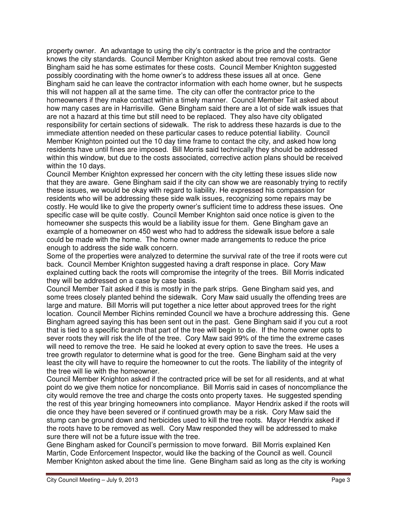property owner. An advantage to using the city's contractor is the price and the contractor knows the city standards. Council Member Knighton asked about tree removal costs. Gene Bingham said he has some estimates for these costs. Council Member Knighton suggested possibly coordinating with the home owner's to address these issues all at once. Gene Bingham said he can leave the contractor information with each home owner, but he suspects this will not happen all at the same time. The city can offer the contractor price to the homeowners if they make contact within a timely manner. Council Member Tait asked about how many cases are in Harrisville. Gene Bingham said there are a lot of side walk issues that are not a hazard at this time but still need to be replaced. They also have city obligated responsibility for certain sections of sidewalk. The risk to address these hazards is due to the immediate attention needed on these particular cases to reduce potential liability. Council Member Knighton pointed out the 10 day time frame to contact the city, and asked how long residents have until fines are imposed. Bill Morris said technically they should be addressed within this window, but due to the costs associated, corrective action plans should be received within the 10 days.

Council Member Knighton expressed her concern with the city letting these issues slide now that they are aware. Gene Bingham said if the city can show we are reasonably trying to rectify these issues, we would be okay with regard to liability. He expressed his compassion for residents who will be addressing these side walk issues, recognizing some repairs may be costly. He would like to give the property owner's sufficient time to address these issues. One specific case will be quite costly. Council Member Knighton said once notice is given to the homeowner she suspects this would be a liability issue for them. Gene Bingham gave an example of a homeowner on 450 west who had to address the sidewalk issue before a sale could be made with the home. The home owner made arrangements to reduce the price enough to address the side walk concern.

Some of the properties were analyzed to determine the survival rate of the tree if roots were cut back. Council Member Knighton suggested having a draft response in place. Cory Maw explained cutting back the roots will compromise the integrity of the trees. Bill Morris indicated they will be addressed on a case by case basis.

Council Member Tait asked if this is mostly in the park strips. Gene Bingham said yes, and some trees closely planted behind the sidewalk. Cory Maw said usually the offending trees are large and mature. Bill Morris will put together a nice letter about approved trees for the right location. Council Member Richins reminded Council we have a brochure addressing this. Gene Bingham agreed saying this has been sent out in the past. Gene Bingham said if you cut a root that is tied to a specific branch that part of the tree will begin to die. If the home owner opts to sever roots they will risk the life of the tree. Cory Maw said 99% of the time the extreme cases will need to remove the tree. He said he looked at every option to save the trees. He uses a tree growth regulator to determine what is good for the tree. Gene Bingham said at the very least the city will have to require the homeowner to cut the roots. The liability of the integrity of the tree will lie with the homeowner.

Council Member Knighton asked if the contracted price will be set for all residents, and at what point do we give them notice for noncompliance. Bill Morris said in cases of noncompliance the city would remove the tree and charge the costs onto property taxes. He suggested spending the rest of this year bringing homeowners into compliance. Mayor Hendrix asked if the roots will die once they have been severed or if continued growth may be a risk. Cory Maw said the stump can be ground down and herbicides used to kill the tree roots. Mayor Hendrix asked if the roots have to be removed as well. Cory Maw responded they will be addressed to make sure there will not be a future issue with the tree.

Gene Bingham asked for Council's permission to move forward. Bill Morris explained Ken Martin, Code Enforcement Inspector, would like the backing of the Council as well. Council Member Knighton asked about the time line. Gene Bingham said as long as the city is working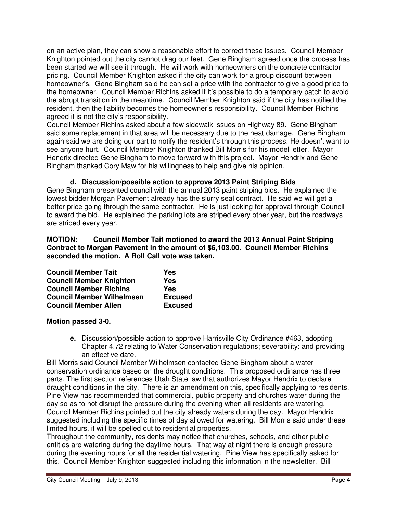on an active plan, they can show a reasonable effort to correct these issues. Council Member Knighton pointed out the city cannot drag our feet. Gene Bingham agreed once the process has been started we will see it through. He will work with homeowners on the concrete contractor pricing. Council Member Knighton asked if the city can work for a group discount between homeowner's. Gene Bingham said he can set a price with the contractor to give a good price to the homeowner. Council Member Richins asked if it's possible to do a temporary patch to avoid the abrupt transition in the meantime. Council Member Knighton said if the city has notified the resident, then the liability becomes the homeowner's responsibility. Council Member Richins agreed it is not the city's responsibility.

Council Member Richins asked about a few sidewalk issues on Highway 89. Gene Bingham said some replacement in that area will be necessary due to the heat damage. Gene Bingham again said we are doing our part to notify the resident's through this process. He doesn't want to see anyone hurt. Council Member Knighton thanked Bill Morris for his model letter. Mayor Hendrix directed Gene Bingham to move forward with this project. Mayor Hendrix and Gene Bingham thanked Cory Maw for his willingness to help and give his opinion.

**d. Discussion/possible action to approve 2013 Paint Striping Bids**  Gene Bingham presented council with the annual 2013 paint striping bids. He explained the lowest bidder Morgan Pavement already has the slurry seal contract. He said we will get a better price going through the same contractor. He is just looking for approval through Council to award the bid. He explained the parking lots are striped every other year, but the roadways are striped every year.

### **MOTION: Council Member Tait motioned to award the 2013 Annual Paint Striping Contract to Morgan Pavement in the amount of \$6,103.00. Council Member Richins seconded the motion. A Roll Call vote was taken.**

| <b>Council Member Tait</b>       | Yes            |
|----------------------------------|----------------|
| <b>Council Member Knighton</b>   | Yes            |
| <b>Council Member Richins</b>    | Yes            |
| <b>Council Member Wilhelmsen</b> | <b>Excused</b> |
| <b>Council Member Allen</b>      | <b>Excused</b> |

## **Motion passed 3-0.**

**e.** Discussion/possible action to approve Harrisville City Ordinance #463, adopting Chapter 4.72 relating to Water Conservation regulations; severability; and providing an effective date.

Bill Morris said Council Member Wilhelmsen contacted Gene Bingham about a water conservation ordinance based on the drought conditions. This proposed ordinance has three parts. The first section references Utah State law that authorizes Mayor Hendrix to declare draught conditions in the city. There is an amendment on this, specifically applying to residents. Pine View has recommended that commercial, public property and churches water during the day so as to not disrupt the pressure during the evening when all residents are watering. Council Member Richins pointed out the city already waters during the day. Mayor Hendrix suggested including the specific times of day allowed for watering. Bill Morris said under these limited hours, it will be spelled out to residential properties.

Throughout the community, residents may notice that churches, schools, and other public entities are watering during the daytime hours. That way at night there is enough pressure during the evening hours for all the residential watering. Pine View has specifically asked for this. Council Member Knighton suggested including this information in the newsletter. Bill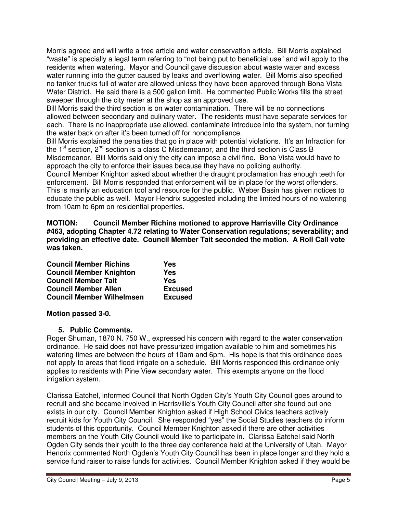Morris agreed and will write a tree article and water conservation article. Bill Morris explained "waste" is specially a legal term referring to "not being put to beneficial use" and will apply to the residents when watering. Mayor and Council gave discussion about waste water and excess water running into the gutter caused by leaks and overflowing water. Bill Morris also specified no tanker trucks full of water are allowed unless they have been approved through Bona Vista Water District. He said there is a 500 gallon limit. He commented Public Works fills the street sweeper through the city meter at the shop as an approved use.

Bill Morris said the third section is on water contamination. There will be no connections allowed between secondary and culinary water. The residents must have separate services for each. There is no inappropriate use allowed, contaminate introduce into the system, nor turning the water back on after it's been turned off for noncompliance.

Bill Morris explained the penalties that go in place with potential violations. It's an Infraction for the  $1<sup>st</sup>$  section,  $2<sup>nd</sup>$  section is a class C Misdemeanor, and the third section is Class B Misdemeanor. Bill Morris said only the city can impose a civil fine. Bona Vista would have to approach the city to enforce their issues because they have no policing authority.

Council Member Knighton asked about whether the draught proclamation has enough teeth for enforcement. Bill Morris responded that enforcement will be in place for the worst offenders. This is mainly an education tool and resource for the public. Weber Basin has given notices to educate the public as well. Mayor Hendrix suggested including the limited hours of no watering from 10am to 6pm on residential properties.

**MOTION: Council Member Richins motioned to approve Harrisville City Ordinance #463, adopting Chapter 4.72 relating to Water Conservation regulations; severability; and providing an effective date. Council Member Tait seconded the motion. A Roll Call vote was taken.** 

| <b>Council Member Richins</b>    | Yes            |
|----------------------------------|----------------|
| <b>Council Member Knighton</b>   | Yes            |
| <b>Council Member Tait</b>       | Yes            |
| <b>Council Member Allen</b>      | <b>Excused</b> |
| <b>Council Member Wilhelmsen</b> | <b>Excused</b> |

## **Motion passed 3-0.**

## **5. Public Comments.**

Roger Shuman, 1870 N. 750 W., expressed his concern with regard to the water conservation ordinance. He said does not have pressurized irrigation available to him and sometimes his watering times are between the hours of 10am and 6pm. His hope is that this ordinance does not apply to areas that flood irrigate on a schedule. Bill Morris responded this ordinance only applies to residents with Pine View secondary water. This exempts anyone on the flood irrigation system.

Clarissa Eatchel, informed Council that North Ogden City's Youth City Council goes around to recruit and she became involved in Harrisville's Youth City Council after she found out one exists in our city. Council Member Knighton asked if High School Civics teachers actively recruit kids for Youth City Council. She responded "yes" the Social Studies teachers do inform students of this opportunity. Council Member Knighton asked if there are other activities members on the Youth City Council would like to participate in. Clarissa Eatchel said North Ogden City sends their youth to the three day conference held at the University of Utah. Mayor Hendrix commented North Ogden's Youth City Council has been in place longer and they hold a service fund raiser to raise funds for activities. Council Member Knighton asked if they would be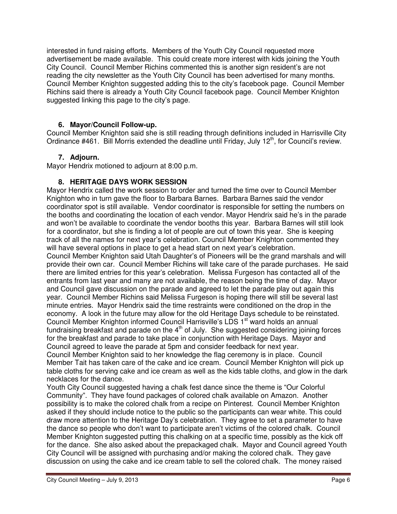interested in fund raising efforts. Members of the Youth City Council requested more advertisement be made available. This could create more interest with kids joining the Youth City Council. Council Member Richins commented this is another sign resident's are not reading the city newsletter as the Youth City Council has been advertised for many months. Council Member Knighton suggested adding this to the city's facebook page. Council Member Richins said there is already a Youth City Council facebook page. Council Member Knighton suggested linking this page to the city's page.

### **6. Mayor/Council Follow-up.**

Council Member Knighton said she is still reading through definitions included in Harrisville City Ordinance #461. Bill Morris extended the deadline until Friday, July 12<sup>th</sup>, for Council's review.

### **7. Adjourn.**

Mayor Hendrix motioned to adjourn at 8:00 p.m.

### **8. HERITAGE DAYS WORK SESSION**

Mayor Hendrix called the work session to order and turned the time over to Council Member Knighton who in turn gave the floor to Barbara Barnes. Barbara Barnes said the vendor coordinator spot is still available. Vendor coordinator is responsible for setting the numbers on the booths and coordinating the location of each vendor. Mayor Hendrix said he's in the parade and won't be available to coordinate the vendor booths this year. Barbara Barnes will still look for a coordinator, but she is finding a lot of people are out of town this year. She is keeping track of all the names for next year's celebration. Council Member Knighton commented they will have several options in place to get a head start on next year's celebration.

Council Member Knighton said Utah Daughter's of Pioneers will be the grand marshals and will provide their own car. Council Member Richins will take care of the parade purchases. He said there are limited entries for this year's celebration. Melissa Furgeson has contacted all of the entrants from last year and many are not available, the reason being the time of day. Mayor and Council gave discussion on the parade and agreed to let the parade play out again this year. Council Member Richins said Melissa Furgeson is hoping there will still be several last minute entries. Mayor Hendrix said the time restraints were conditioned on the drop in the economy. A look in the future may allow for the old Heritage Days schedule to be reinstated. Council Member Knighton informed Council Harrisville's LDS 1<sup>st</sup> ward holds an annual fundraising breakfast and parade on the  $4<sup>th</sup>$  of July. She suggested considering joining forces for the breakfast and parade to take place in conjunction with Heritage Days. Mayor and Council agreed to leave the parade at 5pm and consider feedback for next year.

Council Member Knighton said to her knowledge the flag ceremony is in place. Council Member Tait has taken care of the cake and ice cream. Council Member Knighton will pick up table cloths for serving cake and ice cream as well as the kids table cloths, and glow in the dark necklaces for the dance.

Youth City Council suggested having a chalk fest dance since the theme is "Our Colorful Community". They have found packages of colored chalk available on Amazon. Another possibility is to make the colored chalk from a recipe on Pinterest. Council Member Knighton asked if they should include notice to the public so the participants can wear white. This could draw more attention to the Heritage Day's celebration. They agree to set a parameter to have the dance so people who don't want to participate aren't victims of the colored chalk. Council Member Knighton suggested putting this chalking on at a specific time, possibly as the kick off for the dance. She also asked about the prepackaged chalk. Mayor and Council agreed Youth City Council will be assigned with purchasing and/or making the colored chalk. They gave discussion on using the cake and ice cream table to sell the colored chalk. The money raised